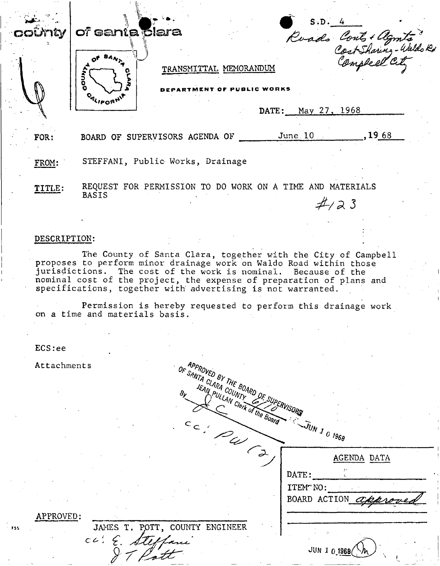| coûnty       | of santa <b>Elara</b>          |                                                                                                                                                                                                                                                                                                                                              |                             |                                  |
|--------------|--------------------------------|----------------------------------------------------------------------------------------------------------------------------------------------------------------------------------------------------------------------------------------------------------------------------------------------------------------------------------------------|-----------------------------|----------------------------------|
|              | <b>GOUNT</b>                   | TRANSMITTAL MEMORANDUM                                                                                                                                                                                                                                                                                                                       |                             | S.D. 4<br>Roads Conts + algmits" |
|              | <b>O</b> RLIFORNIT             | <b>STMENT OF PUBLIC WORKS</b>                                                                                                                                                                                                                                                                                                                |                             |                                  |
|              |                                |                                                                                                                                                                                                                                                                                                                                              | DATE: May 27, 1968          |                                  |
| FOR:         |                                | BOARD OF SUPERVISORS AGENDA OF                                                                                                                                                                                                                                                                                                               | June 10, 1968               |                                  |
| FROM:        |                                | STEFFANI, Public Works, Drainage                                                                                                                                                                                                                                                                                                             |                             |                                  |
| TITLE:       | <b>BASIS</b>                   | REQUEST FOR PERMISSION TO DO WORK ON A TIME AND MATERIALS                                                                                                                                                                                                                                                                                    | $\#$ /23                    |                                  |
|              |                                |                                                                                                                                                                                                                                                                                                                                              |                             |                                  |
| DESCRIPTION: |                                |                                                                                                                                                                                                                                                                                                                                              |                             |                                  |
|              |                                | The County of Santa Clara, together with the City of Campbell<br>proposes to perform minor drainage work on Waldo Road within those<br>jurisdictions. The cost of the work is nominal. Because of the<br>nominal cost of the project, the expense of preparation of plans and<br>specifications, together with advertising is not warranted. |                             |                                  |
|              | on a time and materials basis. | Permission is hereby requested to perform this drainage work                                                                                                                                                                                                                                                                                 |                             |                                  |
|              |                                |                                                                                                                                                                                                                                                                                                                                              |                             |                                  |
| ECS:ee       |                                |                                                                                                                                                                                                                                                                                                                                              |                             |                                  |
| Attachments  |                                | APPROVED BY THE BOARD OF SUP<br>OF SANTA CLARA COUNTY                                                                                                                                                                                                                                                                                        |                             |                                  |
|              |                                |                                                                                                                                                                                                                                                                                                                                              |                             |                                  |
|              |                                | IEAN PULLAN Clerk of the Board                                                                                                                                                                                                                                                                                                               |                             |                                  |
|              |                                | cc: PW (2                                                                                                                                                                                                                                                                                                                                    | $- \tilde{J}_{UN}$ 1 0 1968 |                                  |
|              |                                |                                                                                                                                                                                                                                                                                                                                              |                             | AGENDA DATA                      |
|              |                                |                                                                                                                                                                                                                                                                                                                                              | DATE:                       |                                  |
|              |                                |                                                                                                                                                                                                                                                                                                                                              | ITEM" NO:<br>BOARD ACTION a |                                  |
|              |                                |                                                                                                                                                                                                                                                                                                                                              |                             |                                  |

JUN 1 0 1968 (h

 $\overline{\mathcal{L}}$ 

 $\frac{1}{2}$ 

APPROVED:

 $\mathcal{T}_I$ 

I ft

JAMES T. POTT, COUNTY ENGINEER

 $\bar{\Lambda}$  .  $\sim$  $\mathcal{A}_i$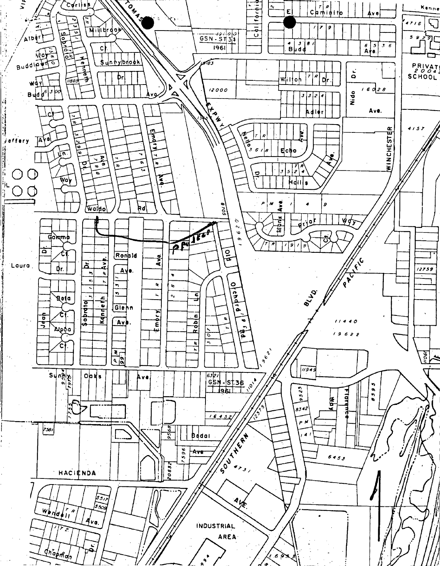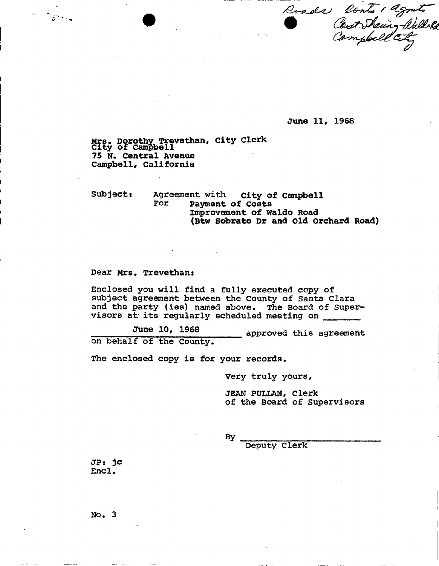Roads Conts + agents

**June 11, 1968** 

**Mrs, Dorothy Trevethan, City Clerk City of Campbell 75 N. Central Avenue Campbell, California** 

**Subject: Agreement with City of Campbell For Payment of Costs Improvement of Waldo Road (Btw Sobrato Dr and old Orchard Road)** 

## **Dear Mrs, Trevethan:**

 $\mathcal{L}_{\mathcal{L}^{m+1} \times \mathcal{L}}$ 

**Enclosed you will find a fully executed copy of subject agreement between the County of Santa Clara and the party (ies) named above. The Board of Supervisors at its regularly scheduled meeting on** 

**June 10. 196 approved this agreement**<br>on behalf of the County.

The enclosed copy is for your records.

**The enclosed copy is for your records.** 

JEAN PULLAN, Clerk of the Board of Supervisors

**By** 

**Deputy Clerk** 

**JPs jc End .** 

**No. 3**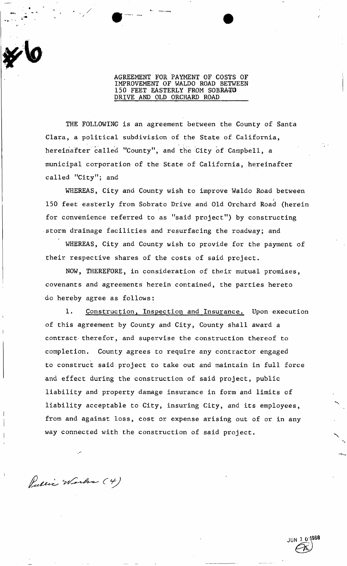## AGREEMENT FOR PAYMENT OF COSTS OF IMPROVEMENT OF WALDO ROAD BETWEEN 150 FEET EASTERLY FROM SOBRATO DRIVE AND OLD ORCHARD ROAD

THE FOLLOWING is an agreement between the County of Santa Clara, a political subdivision of the State of California, hereinafter called "County", and the City of Campbell, a municipal corporation of the State of California, hereinafter called "City"; and

WHEREAS, City and County wish to improve Waldo Road between 150 feet easterly from Sobrato Drive and Old Orchard Road (herein for convenience referred to as "said project") by constructing storm drainage facilities and resurfacing the roadway; and

WHEREAS, City and County wish to provide for the payment of their respective shares of the costs of said project.

NOW, THEREFORE, in consideration of their mutual promises, covenants and agreements herein contained, the parties hereto do hereby agree as follows:

1. Construction, Inspection and Insurance. Upon execution of this agreement by County and City, County shall award a contract therefor, and supervise the construction thereof to completion. County agrees to require any contractor engaged to construct said project to take out and maintain in full force and effect during the construction of said project, public liability and property damage insurance in form and limits of liability acceptable to City, insuring City, and its employees, from and against loss, cost or expense arising out of or in any way connected with the construction of said project.

Public Works (4)

1 0 1968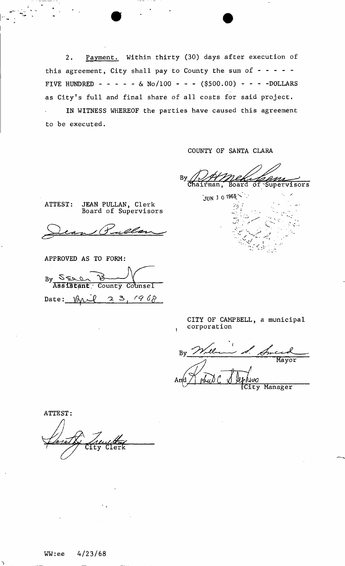Payment. Within thirty (30) days after execution of  $2.$ this agreement, City shall pay to County the sum of  $- - - -$ FIVE HUNDRED - - - - - & No/100 - - - (\$500.00) - - - -DOLLARS as City's full and final share of all costs for said project. IN WITNESS WHEREOF the parties have caused this agreement to be executed.

COUNTY OF SANTA CLARA

By of Supervisors hairman, Board

ATTEST: JEAN PULLAN, Clerk Board of Supervisors

APPROVED AS TO FORM:

 $By \frac{S_{SLO}}{Assilstant}$ **Assistant;** County Counsel Date:  $\sqrt{a}u^{2}$  2 3, 1968

JUN 1 0 1968

CITY OF CAMPBELL, a municipal corporation

 $By$ ity Manager

ATTEST: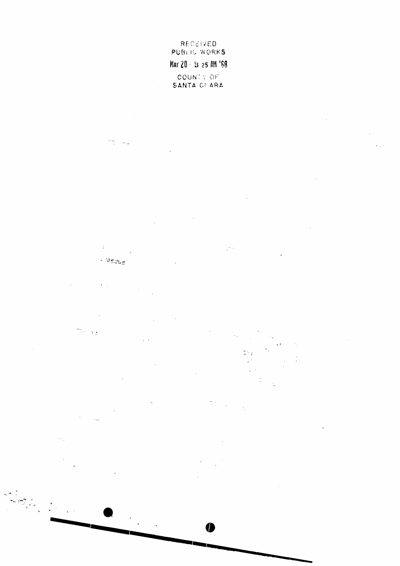RECEIVED PUBLIC WORKS MAY 20 5 3 25 AM '68 COUNTY OF SANTA CI ARA

 $\frac{1}{2}$  ,  $\frac{1}{2}$  $\sim$   $\sim$ 

 $\ddot{\downarrow}$  $\frac{1}{2} \frac{1}{2} \frac{1}{2}$  $\overline{1}$ - Group

 $\hat{\mathbf{r}}$  ,  $\hat{\mathbf{r}}$ 

 $\mathcal{M}_{\mathcal{A}}$  $\rightarrow$  $\ddot{\phantom{0}}$ 

 $\frac{2\pi}{3}$  .  $\mathbb{Z}_{\geq 0}$  $\langle \cdot | \cdot \rangle$  $\ddot{\phantom{0}}$  $\sim$ 

 $\mathcal{L}^{\text{max}}_{\text{max}}$ 

 $\bullet$